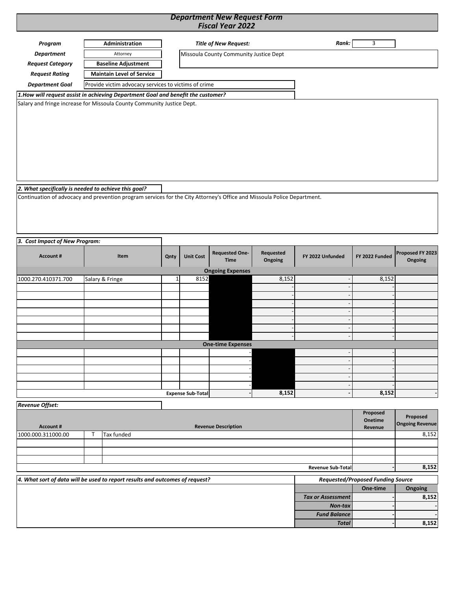## *Department New Request Form Fiscal Year 2022*

| Program                                                                                                                                                                                                                                                   |                                                      | Administration             |                 |                          | <b>Title of New Request:</b>           |                          | Rank:                                    | 3                   |                             |
|-----------------------------------------------------------------------------------------------------------------------------------------------------------------------------------------------------------------------------------------------------------|------------------------------------------------------|----------------------------|-----------------|--------------------------|----------------------------------------|--------------------------|------------------------------------------|---------------------|-----------------------------|
| <b>Department</b>                                                                                                                                                                                                                                         |                                                      | Attorney                   |                 |                          | Missoula County Community Justice Dept |                          |                                          |                     |                             |
| <b>Request Category</b>                                                                                                                                                                                                                                   |                                                      | <b>Baseline Adjustment</b> |                 |                          |                                        |                          |                                          |                     |                             |
| <b>Request Rating</b>                                                                                                                                                                                                                                     | <b>Maintain Level of Service</b>                     |                            |                 |                          |                                        |                          |                                          |                     |                             |
| <b>Department Goal</b>                                                                                                                                                                                                                                    | Provide victim advocacy services to victims of crime |                            |                 |                          |                                        |                          |                                          |                     |                             |
| 1. How will request assist in achieving Department Goal and benefit the customer?                                                                                                                                                                         |                                                      |                            |                 |                          |                                        |                          |                                          |                     |                             |
| Salary and fringe increase for Missoula County Community Justice Dept.<br>2. What specifically is needed to achieve this goal?<br>Continuation of advocacy and prevention program services for the City Attorney's Office and Missoula Police Department. |                                                      |                            |                 |                          |                                        |                          |                                          |                     |                             |
| 3. Cost Impact of New Program:                                                                                                                                                                                                                            |                                                      |                            |                 |                          |                                        |                          |                                          |                     |                             |
| Account#                                                                                                                                                                                                                                                  |                                                      | Item                       | Qnty            | <b>Unit Cost</b>         | <b>Requested One-</b><br><b>Time</b>   | Requested<br>Ongoing     | FY 2022 Unfunded                         | FY 2022 Funded      | Proposed FY 2023<br>Ongoing |
| 1000.270.410371.700                                                                                                                                                                                                                                       |                                                      | Salary & Fringe            | $1\overline{ }$ | 8152                     | <b>Ongoing Expenses</b>                | 8,152                    |                                          | 8,152               |                             |
|                                                                                                                                                                                                                                                           |                                                      |                            |                 |                          |                                        |                          |                                          |                     |                             |
|                                                                                                                                                                                                                                                           |                                                      |                            |                 |                          |                                        |                          |                                          |                     |                             |
|                                                                                                                                                                                                                                                           |                                                      |                            |                 |                          |                                        |                          |                                          |                     |                             |
|                                                                                                                                                                                                                                                           |                                                      |                            |                 |                          |                                        |                          |                                          |                     |                             |
|                                                                                                                                                                                                                                                           |                                                      |                            |                 |                          |                                        |                          |                                          |                     |                             |
|                                                                                                                                                                                                                                                           |                                                      |                            |                 |                          |                                        |                          |                                          |                     |                             |
|                                                                                                                                                                                                                                                           |                                                      |                            |                 |                          | <b>One-time Expenses</b>               |                          |                                          |                     |                             |
|                                                                                                                                                                                                                                                           |                                                      |                            |                 |                          |                                        |                          |                                          |                     |                             |
|                                                                                                                                                                                                                                                           |                                                      |                            |                 |                          |                                        |                          |                                          |                     |                             |
|                                                                                                                                                                                                                                                           |                                                      |                            |                 |                          |                                        |                          |                                          |                     |                             |
|                                                                                                                                                                                                                                                           |                                                      |                            |                 | <b>Expense Sub-Total</b> |                                        | 8,152                    |                                          | 8,152               |                             |
|                                                                                                                                                                                                                                                           |                                                      |                            |                 |                          |                                        |                          |                                          |                     |                             |
| <b>Revenue Offset:</b>                                                                                                                                                                                                                                    |                                                      |                            |                 |                          |                                        |                          |                                          | Proposed<br>Onetime | Proposed                    |
| <b>Account #</b>                                                                                                                                                                                                                                          |                                                      |                            |                 |                          | <b>Revenue Description</b>             |                          |                                          | Revenue             | <b>Ongoing Revenue</b>      |
| 1000.000.311000.00                                                                                                                                                                                                                                        | Т                                                    | Tax funded                 |                 |                          |                                        |                          |                                          |                     | 8,152                       |
|                                                                                                                                                                                                                                                           |                                                      |                            |                 |                          |                                        |                          |                                          |                     |                             |
|                                                                                                                                                                                                                                                           |                                                      |                            |                 |                          |                                        |                          |                                          |                     |                             |
|                                                                                                                                                                                                                                                           |                                                      |                            |                 |                          |                                        | <b>Revenue Sub-Total</b> |                                          | 8,152               |                             |
| 4. What sort of data will be used to report results and outcomes of request?                                                                                                                                                                              |                                                      |                            |                 |                          |                                        |                          | <b>Requested/Proposed Funding Source</b> |                     |                             |
|                                                                                                                                                                                                                                                           |                                                      |                            |                 |                          |                                        |                          |                                          | One-time            | Ongoing                     |
|                                                                                                                                                                                                                                                           |                                                      |                            |                 |                          |                                        |                          | <b>Tax or Assessment</b>                 |                     | 8,152                       |
|                                                                                                                                                                                                                                                           |                                                      |                            |                 |                          |                                        |                          | Non-tax                                  |                     |                             |
|                                                                                                                                                                                                                                                           |                                                      |                            |                 |                          |                                        |                          | <b>Fund Balance</b><br><b>Total</b>      |                     | 8,152                       |
|                                                                                                                                                                                                                                                           |                                                      |                            |                 |                          |                                        |                          |                                          |                     |                             |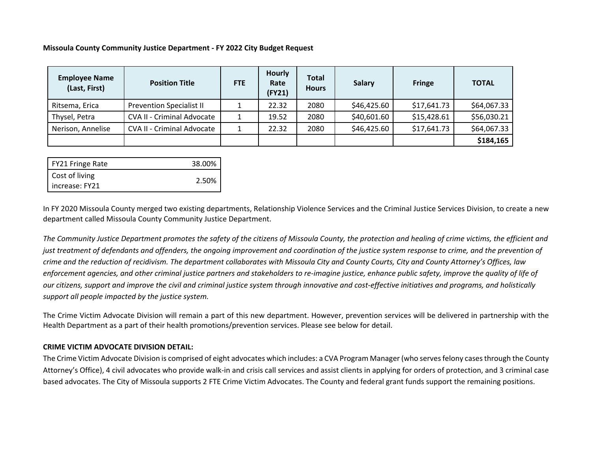## **Missoula County Community Justice Department ‐ FY 2022 City Budget Request**

| <b>Employee Name</b><br>(Last, First) | <b>Position Title</b>             | <b>FTE</b> | <b>Hourly</b><br>Rate<br>(FY21) | <b>Total</b><br><b>Hours</b> | Salary      | <b>Fringe</b> | <b>TOTAL</b> |
|---------------------------------------|-----------------------------------|------------|---------------------------------|------------------------------|-------------|---------------|--------------|
| Ritsema, Erica                        | <b>Prevention Specialist II</b>   |            | 22.32                           | 2080                         | \$46,425.60 | \$17,641.73   | \$64,067.33  |
| Thysel, Petra                         | <b>CVA II - Criminal Advocate</b> |            | 19.52                           | 2080                         | \$40,601.60 | \$15,428.61   | \$56,030.21  |
| Nerison, Annelise                     | <b>CVA II - Criminal Advocate</b> |            | 22.32                           | 2080                         | \$46,425.60 | \$17,641.73   | \$64,067.33  |
|                                       |                                   |            |                                 |                              |             |               | \$184,165    |

| FY21 Fringe Rate | 38.00% |
|------------------|--------|
| Cost of living   |        |
| increase: FY21   | 2.50%  |

In FY 2020 Missoula County merged two existing departments, Relationship Violence Services and the Criminal Justice Services Division, to create <sup>a</sup> new department called Missoula County Community Justice Department.

The Community Justice Department promotes the safety of the citizens of Missoula County, the protection and healing of crime victims, the efficient and just treatment of defendants and offenders, the ongoing improvement and coordination of the justice system response to crime, and the prevention of crime and the reduction of recidivism. The department collaborates with Missoula City and County Courts, City and County Attorney's Offices, law enforcement agencies, and other criminal justice partners and stakeholders to re-imagine justice, enhance public safety, improve the quality of life of our citizens, support and improve the civil and criminal justice system through innovative and cost-effective initiatives and programs, and holistically *support all people impacted by the justice system.*

The Crime Victim Advocate Division will remain <sup>a</sup> part of this new department. However, prevention services will be delivered in partnership with the Health Department as <sup>a</sup> part of their health promotions/prevention services. Please see below for detail.

## **CRIME VICTIM ADVOCATE DIVISION DETAIL:**

The Crime Victim Advocate Division is comprised of eight advocates which includes: <sup>a</sup> CVA Program Manager (who servesfelony casesthrough the County Attorney's Office), 4 civil advocates who provide walk‐in and crisis call services and assist clients in applying for orders of protection, and 3 criminal case based advocates. The City of Missoula supports 2 FTE Crime Victim Advocates. The County and federal grant funds support the remaining positions.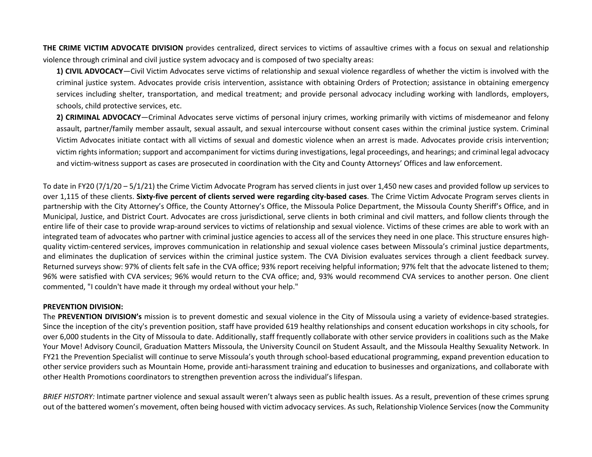**THE CRIME VICTIM ADVOCATE DIVISION** provides centralized, direct services to victims of assaultive crimes with <sup>a</sup> focus on sexual and relationship violence through criminal and civil justice system advocacy and is composed of two specialty areas:

**1) CIVIL ADVOCACY**—Civil Victim Advocates serve victims of relationship and sexual violence regardless of whether the victim is involved with the criminal justice system. Advocates provide crisis intervention, assistance with obtaining Orders of Protection; assistance in obtaining emergency services including shelter, transportation, and medical treatment; and provide personal advocacy including working with landlords, employers, schools, child protective services, etc.

**2) CRIMINAL ADVOCACY**—Criminal Advocates serve victims of personal injury crimes, working primarily with victims of misdemeanor and felony assault, partner/family member assault, sexual assault, and sexual intercourse without consent cases within the criminal justice system. Criminal Victim Advocates initiate contact with all victims of sexual and domestic violence when an arrest is made. Advocates provide crisis intervention; victim rights information; support and accompaniment for victims during investigations, legal proceedings, and hearings; and criminal legal advocacy and victim‐witness support as cases are prosecuted in coordination with the City and County Attorneys' Offices and law enforcement.

To date in FY20 (7/1/20 – 5/1/21) the Crime Victim Advocate Program has served clients in just over 1,450 new cases and provided follow up services to over 1,115 of these clients. Sixty-five percent of clients served were regarding city-based cases. The Crime Victim Advocate Program serves clients in partnership with the City Attorney's Office, the County Attorney's Office, the Missoula Police Department, the Missoula County Sheriff's Office, and in Municipal, Justice, and District Court. Advocates are cross jurisdictional, serve clients in both criminal and civil matters, and follow clients through the entire life of their case to provide wrap-around services to victims of relationship and sexual violence. Victims of these crimes are able to work with an integrated team of advocates who partner with criminal justice agencies to access all of the services they need in one place. This structure ensures highquality victim‐centered services, improves communication in relationship and sexual violence cases between Missoula's criminal justice departments, and eliminates the duplication of services within the criminal justice system. The CVA Division evaluates services through <sup>a</sup> client feedback survey. Returned surveys show: 97% of clients felt safe in the CVA office; 93% report receiving helpful information; 97% felt that the advocate listened to them; 96% were satisfied with CVA services; 96% would return to the CVA office; and, 93% would recommend CVA services to another person. One client commented, "I couldn't have made it through my ordeal without your help."

## **PREVENTION DIVISION:**

The **PREVENTION DIVISION's** mission is to prevent domestic and sexual violence in the City of Missoula using <sup>a</sup> variety of evidence‐based strategies. Since the inception of the city's prevention position, staff have provided 619 healthy relationships and consent education workshops in city schools, for over 6,000 students in the City of Missoula to date. Additionally, staff frequently collaborate with other service providers in coalitions such as the Make Your Move! Advisory Council, Graduation Matters Missoula, the University Council on Student Assault, and the Missoula Healthy Sexuality Network. In FY21 the Prevention Specialist will continue to serve Missoula's youth through school‐based educational programming, expand prevention education to other service providers such as Mountain Home, provide anti‐harassment training and education to businesses and organizations, and collaborate with other Health Promotions coordinators to strengthen prevention across the individual's lifespan.

*BRIEF HISTORY:* Intimate partner violence and sexual assault weren't always seen as public health issues. As <sup>a</sup> result, prevention of these crimes sprung out of the battered women's movement, often being housed with victim advocacy services. As such, Relationship Violence Services (now the Community